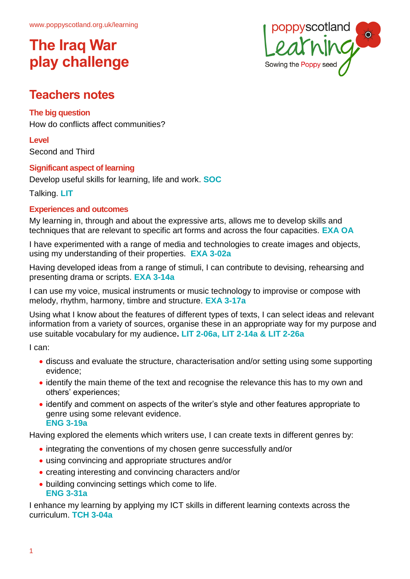

### **Teachers notes**

#### **The big question**

How do conflicts affect communities?

**Level** Second and Third

#### **Significant aspect of learning**

Develop useful skills for learning, life and work. **SOC**

Talking. **LIT**

#### **Experiences and outcomes**

My learning in, through and about the expressive arts, allows me to develop skills and techniques that are relevant to specific art forms and across the four capacities. **EXA OA**

I have experimented with a range of media and technologies to create images and objects, using my understanding of their properties. **EXA 3-02a**

Having developed ideas from a range of stimuli, I can contribute to devising, rehearsing and presenting drama or scripts. **EXA 3-14a**

I can use my voice, musical instruments or music technology to improvise or compose with melody, rhythm, harmony, timbre and structure. **EXA 3-17a**

Using what I know about the features of different types of texts, I can select ideas and relevant information from a variety of sources, organise these in an appropriate way for my purpose and use suitable vocabulary for my audience**. LIT 2-06a, LIT 2-14a & LIT 2-26a**

I can:

- discuss and evaluate the structure, characterisation and/or setting using some supporting evidence;
- identify the main theme of the text and recognise the relevance this has to my own and others' experiences;
- identify and comment on aspects of the writer's style and other features appropriate to genre using some relevant evidence. **ENG 3-19a**

Having explored the elements which writers use, I can create texts in different genres by:

- integrating the conventions of my chosen genre successfully and/or
- using convincing and appropriate structures and/or
- creating interesting and convincing characters and/or
- building convincing settings which come to life. **ENG 3-31a**

I enhance my learning by applying my ICT skills in different learning contexts across the curriculum. **TCH 3-04a**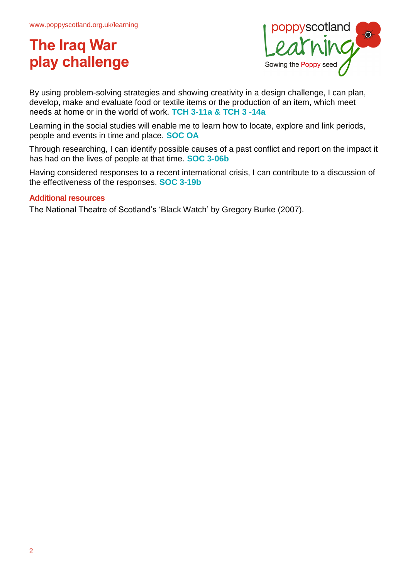

By using problem-solving strategies and showing creativity in a design challenge, I can plan, develop, make and evaluate food or textile items or the production of an item, which meet needs at home or in the world of work. **TCH 3-11a & TCH 3 -14a**

Learning in the social studies will enable me to learn how to locate, explore and link periods, people and events in time and place. **SOC OA**

Through researching, I can identify possible causes of a past conflict and report on the impact it has had on the lives of people at that time. **SOC 3-06b**

Having considered responses to a recent international crisis, I can contribute to a discussion of the effectiveness of the responses. **SOC 3-19b**

#### **Additional resources**

The National Theatre of Scotland's 'Black Watch' by Gregory Burke (2007).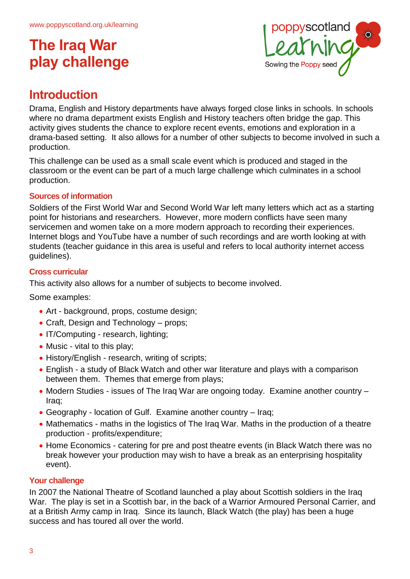

### **Introduction**

Drama, English and History departments have always forged close links in schools. In schools where no drama department exists English and History teachers often bridge the gap. This activity gives students the chance to explore recent events, emotions and exploration in a drama-based setting. It also allows for a number of other subjects to become involved in such a production.

This challenge can be used as a small scale event which is produced and staged in the classroom or the event can be part of a much large challenge which culminates in a school production.

#### **Sources of information**

Soldiers of the First World War and Second World War left many letters which act as a starting point for historians and researchers. However, more modern conflicts have seen many servicemen and women take on a more modern approach to recording their experiences. Internet blogs and YouTube have a number of such recordings and are worth looking at with students (teacher guidance in this area is useful and refers to local authority internet access guidelines).

#### **Cross curricular**

This activity also allows for a number of subjects to become involved.

Some examples:

- Art background, props, costume design;
- Craft, Design and Technology props;
- IT/Computing research, lighting;
- Music vital to this play;
- History/English research, writing of scripts;
- English a study of Black Watch and other war literature and plays with a comparison between them. Themes that emerge from plays;
- Modern Studies issues of The Iraq War are ongoing today. Examine another country Iraq;
- Geography location of Gulf. Examine another country Iraq;
- Mathematics maths in the logistics of The Iraq War. Maths in the production of a theatre production - profits/expenditure;
- Home Economics catering for pre and post theatre events (in Black Watch there was no break however your production may wish to have a break as an enterprising hospitality event).

#### **Your challenge**

In 2007 the National Theatre of Scotland launched a play about Scottish soldiers in the Iraq War. The play is set in a Scottish bar, in the back of a Warrior Armoured Personal Carrier, and at a British Army camp in Iraq. Since its launch, Black Watch (the play) has been a huge success and has toured all over the world.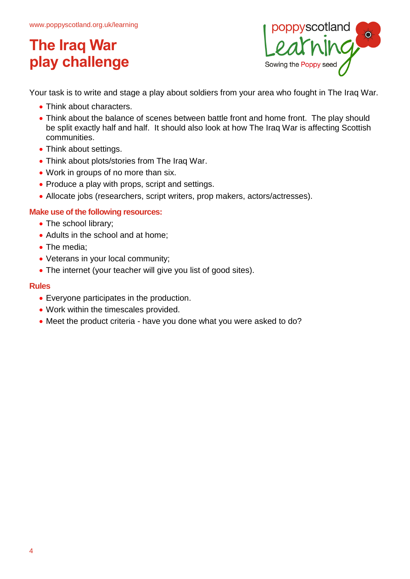

Your task is to write and stage a play about soldiers from your area who fought in The Iraq War.

- Think about characters.
- Think about the balance of scenes between battle front and home front. The play should be split exactly half and half. It should also look at how The Iraq War is affecting Scottish communities.
- Think about settings.
- Think about plots/stories from The Iraq War.
- Work in groups of no more than six.
- Produce a play with props, script and settings.
- Allocate jobs (researchers, script writers, prop makers, actors/actresses).

#### **Make use of the following resources:**

- The school library;
- Adults in the school and at home;
- The media:
- Veterans in your local community;
- The internet (your teacher will give you list of good sites).

#### **Rules**

- Everyone participates in the production.
- Work within the timescales provided.
- Meet the product criteria have you done what you were asked to do?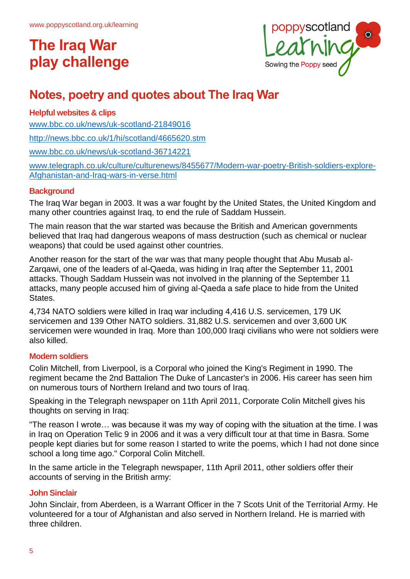

### **Notes, poetry and quotes about The Iraq War**

#### **Helpful websites & clips**

[www.bbc.co.uk/news/uk-scotland-21849016](http://www.bbc.co.uk/news/uk-scotland-21849016)

<http://news.bbc.co.uk/1/hi/scotland/4665620.stm>

[www.bbc.co.uk/news/uk-scotland-36714221](http://www.bbc.co.uk/news/uk-scotland-36714221)

[www.telegraph.co.uk/culture/culturenews/8455677/Modern-war-poetry-British-soldiers-explore-](http://www.telegraph.co.uk/culture/culturenews/8455677/Modern-war-poetry-British-soldiers-explore-Afghanistan-and-Iraq-wars-in-verse.html)[Afghanistan-and-Iraq-wars-in-verse.html](http://www.telegraph.co.uk/culture/culturenews/8455677/Modern-war-poetry-British-soldiers-explore-Afghanistan-and-Iraq-wars-in-verse.html)

#### **Background**

The Iraq War began in 2003. It was a war fought by the United States, the United Kingdom and many other countries against Iraq, to end the rule of Saddam Hussein.

The main reason that the war started was because the British and American governments believed that Iraq had dangerous weapons of mass destruction (such as chemical or nuclear weapons) that could be used against other countries.

Another reason for the start of the war was that many people thought that Abu Musab al-Zarqawi, one of the leaders of al-Qaeda, was hiding in Iraq after the September 11, 2001 attacks. Though Saddam Hussein was not involved in the planning of the September 11 attacks, many people accused him of giving al-Qaeda a safe place to hide from the United States.

4,734 NATO soldiers were killed in Iraq war including 4,416 U.S. servicemen, 179 UK servicemen and 139 Other NATO soldiers. 31,882 U.S. servicemen and over 3,600 UK servicemen were wounded in Iraq. More than 100,000 Iraqi civilians who were not soldiers were also killed.

#### **Modern soldiers**

Colin Mitchell, from Liverpool, is a Corporal who joined the King's Regiment in 1990. The regiment became the 2nd Battalion The Duke of Lancaster's in 2006. His career has seen him on numerous tours of Northern Ireland and two tours of Iraq.

Speaking in the Telegraph newspaper on 11th April 2011, Corporate Colin Mitchell gives his thoughts on serving in Iraq:

"The reason I wrote… was because it was my way of coping with the situation at the time. I was in Iraq on Operation Telic 9 in 2006 and it was a very difficult tour at that time in Basra. Some people kept diaries but for some reason I started to write the poems, which I had not done since school a long time ago." Corporal Colin Mitchell.

In the same article in the Telegraph newspaper, 11th April 2011, other soldiers offer their accounts of serving in the British army:

#### **John Sinclair**

John Sinclair, from Aberdeen, is a Warrant Officer in the 7 Scots Unit of the Territorial Army. He volunteered for a tour of Afghanistan and also served in Northern Ireland. He is married with three children.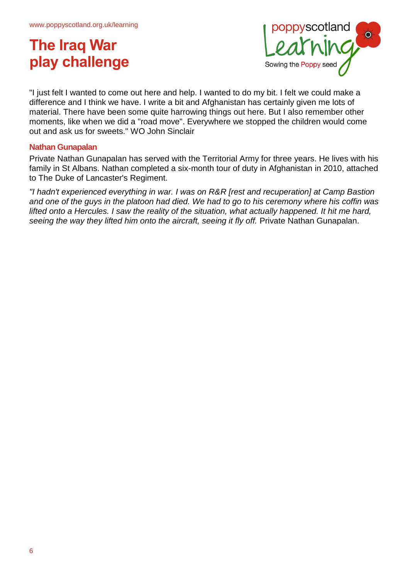

"I just felt I wanted to come out here and help. I wanted to do my bit. I felt we could make a difference and I think we have. I write a bit and Afghanistan has certainly given me lots of material. There have been some quite harrowing things out here. But I also remember other moments, like when we did a "road move". Everywhere we stopped the children would come out and ask us for sweets." WO John Sinclair

#### **Nathan Gunapalan**

Private Nathan Gunapalan has served with the Territorial Army for three years. He lives with his family in St Albans. Nathan completed a six-month tour of duty in Afghanistan in 2010, attached to The Duke of Lancaster's Regiment.

*"I hadn't experienced everything in war. I was on R&R [rest and recuperation] at Camp Bastion and one of the guys in the platoon had died. We had to go to his ceremony where his coffin was lifted onto a Hercules. I saw the reality of the situation, what actually happened. It hit me hard, seeing the way they lifted him onto the aircraft, seeing it fly off.* Private Nathan Gunapalan.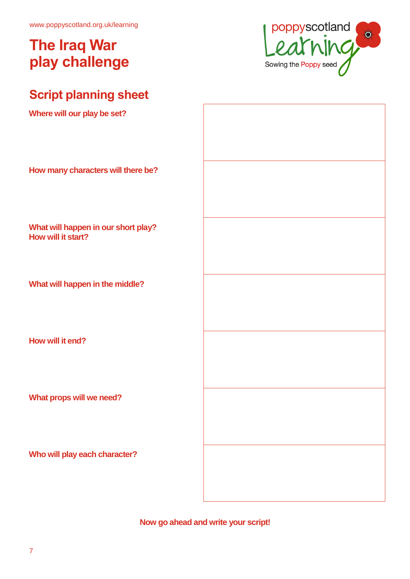www.poppyscotland.org.uk/learning

# **The Iraq War play challenge**



### **Script planning sheet**

**Where will our play be set?**

| <b>THING WILL AND MAY NO OULD</b>                         |  |
|-----------------------------------------------------------|--|
| How many characters will there be?                        |  |
| What will happen in our short play?<br>How will it start? |  |
| What will happen in the middle?                           |  |
| How will it end?                                          |  |
| What props will we need?                                  |  |
| Who will play each character?                             |  |
|                                                           |  |

**Now go ahead and write your script!**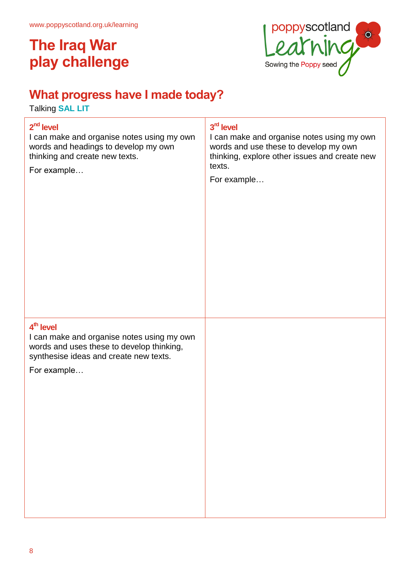

### **What progress have I made today?**

Talking **SAL LIT**

# **2 nd level** I can make and organise notes using my own words and headings to develop my own thinking and create new texts. For example… **3 rd level** I can make and organise notes using my own words and use these to develop my own thinking, explore other issues and create new texts. For example… **4 th level** I can make and organise notes using my own words and uses these to develop thinking, synthesise ideas and create new texts. For example…